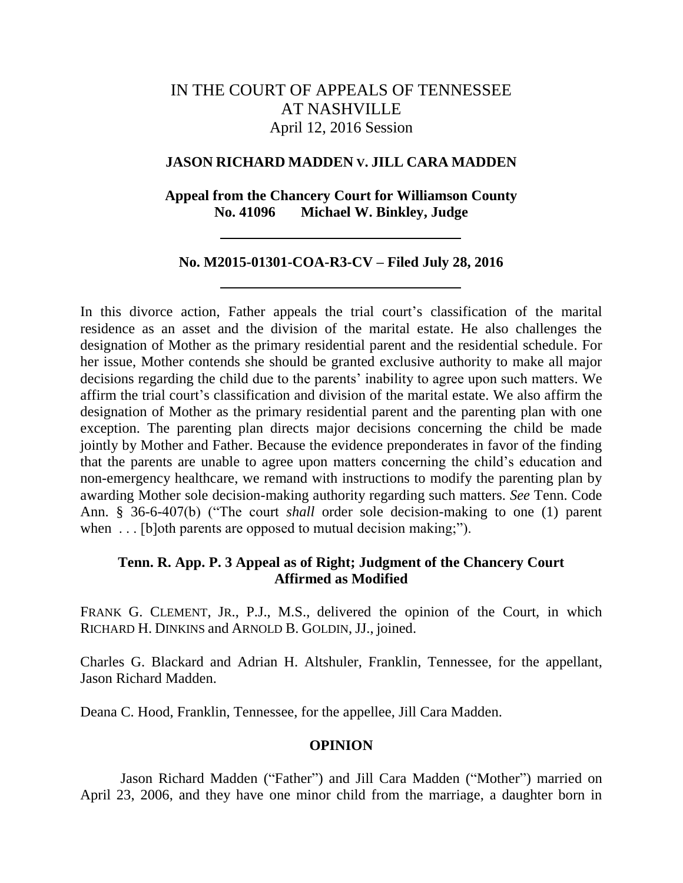# IN THE COURT OF APPEALS OF TENNESSEE AT NASHVILLE April 12, 2016 Session

# **JASON RICHARD MADDEN V. JILL CARA MADDEN**

# **Appeal from the Chancery Court for Williamson County No. 41096 Michael W. Binkley, Judge**

# **No. M2015-01301-COA-R3-CV – Filed July 28, 2016**

In this divorce action, Father appeals the trial court's classification of the marital residence as an asset and the division of the marital estate. He also challenges the designation of Mother as the primary residential parent and the residential schedule. For her issue, Mother contends she should be granted exclusive authority to make all major decisions regarding the child due to the parents' inability to agree upon such matters. We affirm the trial court's classification and division of the marital estate. We also affirm the designation of Mother as the primary residential parent and the parenting plan with one exception. The parenting plan directs major decisions concerning the child be made jointly by Mother and Father. Because the evidence preponderates in favor of the finding that the parents are unable to agree upon matters concerning the child's education and non-emergency healthcare, we remand with instructions to modify the parenting plan by awarding Mother sole decision-making authority regarding such matters. *See* Tenn. Code Ann. § 36-6-407(b) ("The court *shall* order sole decision-making to one (1) parent when ... [b]oth parents are opposed to mutual decision making;").

# **Tenn. R. App. P. 3 Appeal as of Right; Judgment of the Chancery Court Affirmed as Modified**

FRANK G. CLEMENT, JR., P.J., M.S., delivered the opinion of the Court, in which RICHARD H. DINKINS and ARNOLD B. GOLDIN, JJ., joined.

Charles G. Blackard and Adrian H. Altshuler, Franklin, Tennessee, for the appellant, Jason Richard Madden.

Deana C. Hood, Franklin, Tennessee, for the appellee, Jill Cara Madden.

### **OPINION**

Jason Richard Madden ("Father") and Jill Cara Madden ("Mother") married on April 23, 2006, and they have one minor child from the marriage, a daughter born in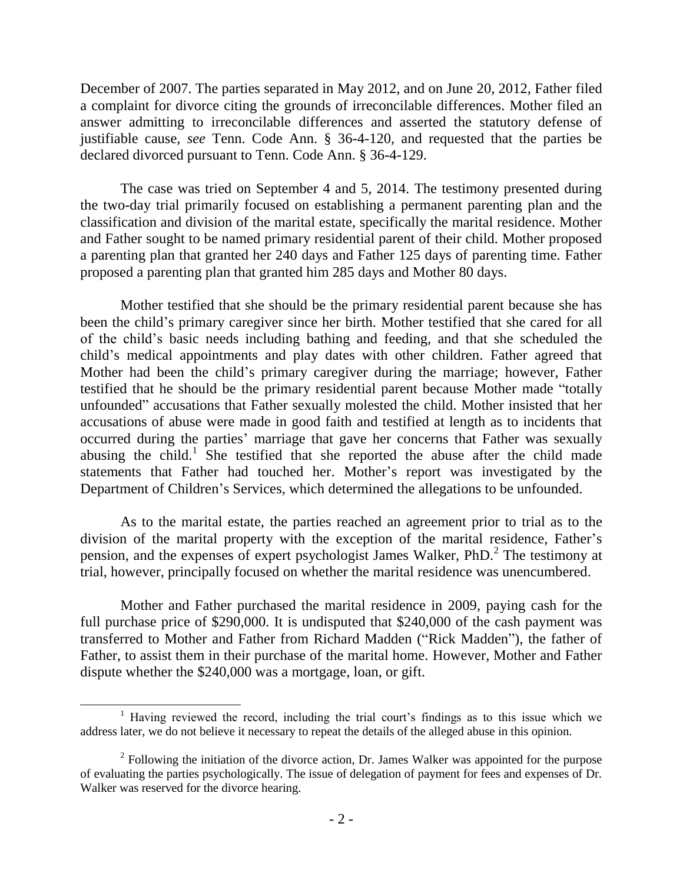December of 2007. The parties separated in May 2012, and on June 20, 2012, Father filed a complaint for divorce citing the grounds of irreconcilable differences. Mother filed an answer admitting to irreconcilable differences and asserted the statutory defense of justifiable cause, *see* Tenn. Code Ann. § 36-4-120, and requested that the parties be declared divorced pursuant to Tenn. Code Ann. § 36-4-129.

The case was tried on September 4 and 5, 2014. The testimony presented during the two-day trial primarily focused on establishing a permanent parenting plan and the classification and division of the marital estate, specifically the marital residence. Mother and Father sought to be named primary residential parent of their child. Mother proposed a parenting plan that granted her 240 days and Father 125 days of parenting time. Father proposed a parenting plan that granted him 285 days and Mother 80 days.

Mother testified that she should be the primary residential parent because she has been the child's primary caregiver since her birth. Mother testified that she cared for all of the child's basic needs including bathing and feeding, and that she scheduled the child's medical appointments and play dates with other children. Father agreed that Mother had been the child's primary caregiver during the marriage; however, Father testified that he should be the primary residential parent because Mother made "totally unfounded" accusations that Father sexually molested the child. Mother insisted that her accusations of abuse were made in good faith and testified at length as to incidents that occurred during the parties' marriage that gave her concerns that Father was sexually abusing the child.<sup>1</sup> She testified that she reported the abuse after the child made statements that Father had touched her. Mother's report was investigated by the Department of Children's Services, which determined the allegations to be unfounded.

As to the marital estate, the parties reached an agreement prior to trial as to the division of the marital property with the exception of the marital residence, Father's pension, and the expenses of expert psychologist James Walker, PhD.<sup>2</sup> The testimony at trial, however, principally focused on whether the marital residence was unencumbered.

Mother and Father purchased the marital residence in 2009, paying cash for the full purchase price of \$290,000. It is undisputed that \$240,000 of the cash payment was transferred to Mother and Father from Richard Madden ("Rick Madden"), the father of Father, to assist them in their purchase of the marital home. However, Mother and Father dispute whether the \$240,000 was a mortgage, loan, or gift.

 $\overline{a}$ 

<sup>&</sup>lt;sup>1</sup> Having reviewed the record, including the trial court's findings as to this issue which we address later, we do not believe it necessary to repeat the details of the alleged abuse in this opinion.

 $2^2$  Following the initiation of the divorce action, Dr. James Walker was appointed for the purpose of evaluating the parties psychologically. The issue of delegation of payment for fees and expenses of Dr. Walker was reserved for the divorce hearing.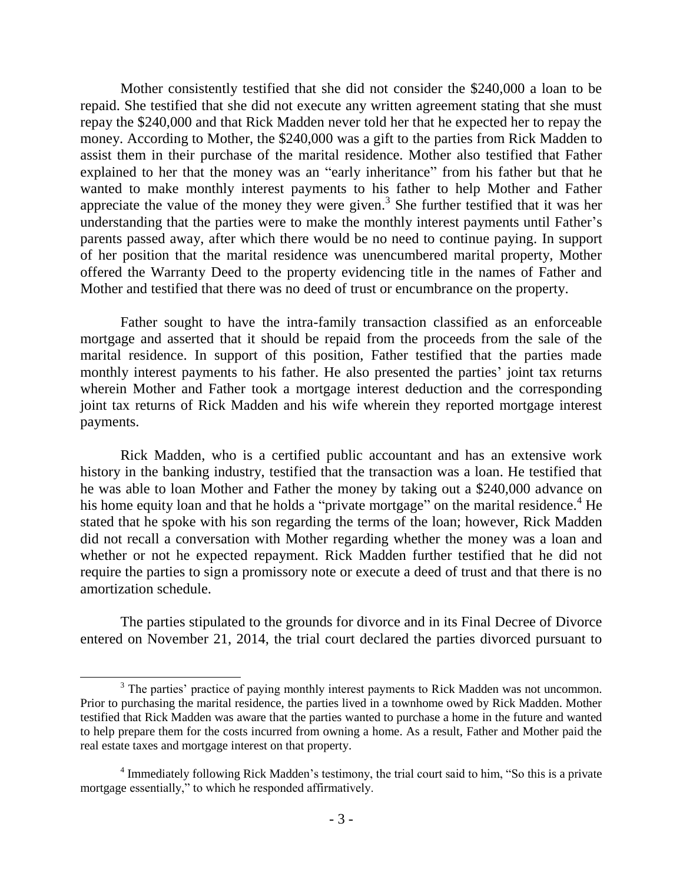Mother consistently testified that she did not consider the \$240,000 a loan to be repaid. She testified that she did not execute any written agreement stating that she must repay the \$240,000 and that Rick Madden never told her that he expected her to repay the money. According to Mother, the \$240,000 was a gift to the parties from Rick Madden to assist them in their purchase of the marital residence. Mother also testified that Father explained to her that the money was an "early inheritance" from his father but that he wanted to make monthly interest payments to his father to help Mother and Father appreciate the value of the money they were given.<sup>3</sup> She further testified that it was her understanding that the parties were to make the monthly interest payments until Father's parents passed away, after which there would be no need to continue paying. In support of her position that the marital residence was unencumbered marital property, Mother offered the Warranty Deed to the property evidencing title in the names of Father and Mother and testified that there was no deed of trust or encumbrance on the property.

Father sought to have the intra-family transaction classified as an enforceable mortgage and asserted that it should be repaid from the proceeds from the sale of the marital residence. In support of this position, Father testified that the parties made monthly interest payments to his father. He also presented the parties' joint tax returns wherein Mother and Father took a mortgage interest deduction and the corresponding joint tax returns of Rick Madden and his wife wherein they reported mortgage interest payments.

Rick Madden, who is a certified public accountant and has an extensive work history in the banking industry, testified that the transaction was a loan. He testified that he was able to loan Mother and Father the money by taking out a \$240,000 advance on his home equity loan and that he holds a "private mortgage" on the marital residence.<sup>4</sup> He stated that he spoke with his son regarding the terms of the loan; however, Rick Madden did not recall a conversation with Mother regarding whether the money was a loan and whether or not he expected repayment. Rick Madden further testified that he did not require the parties to sign a promissory note or execute a deed of trust and that there is no amortization schedule.

The parties stipulated to the grounds for divorce and in its Final Decree of Divorce entered on November 21, 2014, the trial court declared the parties divorced pursuant to

 $\overline{\phantom{a}}$ 

<sup>&</sup>lt;sup>3</sup> The parties' practice of paying monthly interest payments to Rick Madden was not uncommon. Prior to purchasing the marital residence, the parties lived in a townhome owed by Rick Madden. Mother testified that Rick Madden was aware that the parties wanted to purchase a home in the future and wanted to help prepare them for the costs incurred from owning a home. As a result, Father and Mother paid the real estate taxes and mortgage interest on that property.

<sup>&</sup>lt;sup>4</sup> Immediately following Rick Madden's testimony, the trial court said to him, "So this is a private mortgage essentially," to which he responded affirmatively.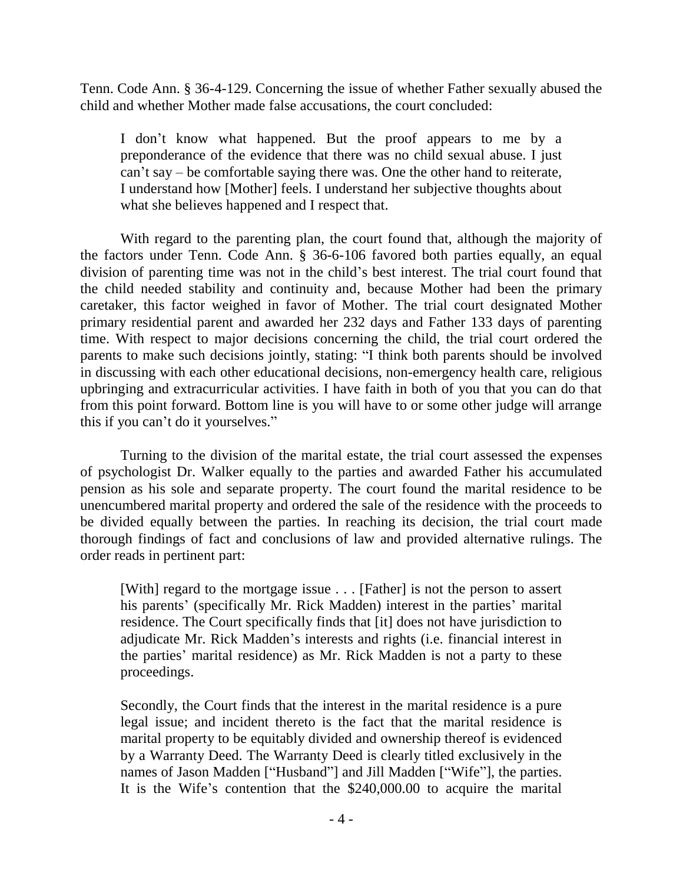Tenn. Code Ann. § 36-4-129. Concerning the issue of whether Father sexually abused the child and whether Mother made false accusations, the court concluded:

I don't know what happened. But the proof appears to me by a preponderance of the evidence that there was no child sexual abuse. I just can't say – be comfortable saying there was. One the other hand to reiterate, I understand how [Mother] feels. I understand her subjective thoughts about what she believes happened and I respect that.

With regard to the parenting plan, the court found that, although the majority of the factors under Tenn. Code Ann. § 36-6-106 favored both parties equally, an equal division of parenting time was not in the child's best interest. The trial court found that the child needed stability and continuity and, because Mother had been the primary caretaker, this factor weighed in favor of Mother. The trial court designated Mother primary residential parent and awarded her 232 days and Father 133 days of parenting time. With respect to major decisions concerning the child, the trial court ordered the parents to make such decisions jointly, stating: "I think both parents should be involved in discussing with each other educational decisions, non-emergency health care, religious upbringing and extracurricular activities. I have faith in both of you that you can do that from this point forward. Bottom line is you will have to or some other judge will arrange this if you can't do it yourselves."

Turning to the division of the marital estate, the trial court assessed the expenses of psychologist Dr. Walker equally to the parties and awarded Father his accumulated pension as his sole and separate property. The court found the marital residence to be unencumbered marital property and ordered the sale of the residence with the proceeds to be divided equally between the parties. In reaching its decision, the trial court made thorough findings of fact and conclusions of law and provided alternative rulings. The order reads in pertinent part:

[With] regard to the mortgage issue . . . [Father] is not the person to assert his parents' (specifically Mr. Rick Madden) interest in the parties' marital residence. The Court specifically finds that [it] does not have jurisdiction to adjudicate Mr. Rick Madden's interests and rights (i.e. financial interest in the parties' marital residence) as Mr. Rick Madden is not a party to these proceedings.

Secondly, the Court finds that the interest in the marital residence is a pure legal issue; and incident thereto is the fact that the marital residence is marital property to be equitably divided and ownership thereof is evidenced by a Warranty Deed. The Warranty Deed is clearly titled exclusively in the names of Jason Madden ["Husband"] and Jill Madden ["Wife"], the parties. It is the Wife's contention that the \$240,000.00 to acquire the marital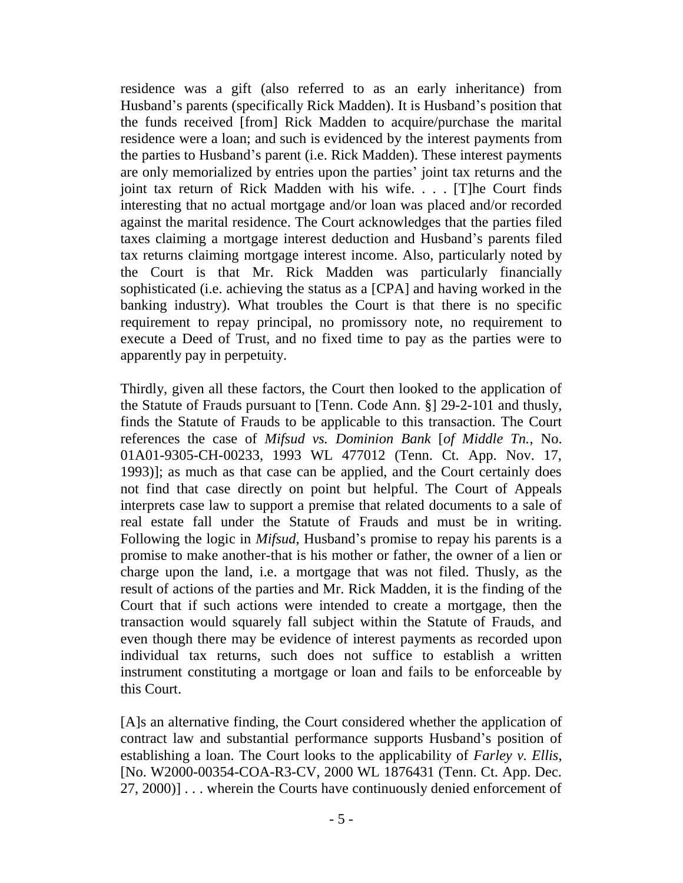residence was a gift (also referred to as an early inheritance) from Husband's parents (specifically Rick Madden). It is Husband's position that the funds received [from] Rick Madden to acquire/purchase the marital residence were a loan; and such is evidenced by the interest payments from the parties to Husband's parent (i.e. Rick Madden). These interest payments are only memorialized by entries upon the parties' joint tax returns and the joint tax return of Rick Madden with his wife. . . . [T]he Court finds interesting that no actual mortgage and/or loan was placed and/or recorded against the marital residence. The Court acknowledges that the parties filed taxes claiming a mortgage interest deduction and Husband's parents filed tax returns claiming mortgage interest income. Also, particularly noted by the Court is that Mr. Rick Madden was particularly financially sophisticated (i.e. achieving the status as a [CPA] and having worked in the banking industry). What troubles the Court is that there is no specific requirement to repay principal, no promissory note, no requirement to execute a Deed of Trust, and no fixed time to pay as the parties were to apparently pay in perpetuity.

Thirdly, given all these factors, the Court then looked to the application of the Statute of Frauds pursuant to [Tenn. Code Ann. §] 29-2-101 and thusly, finds the Statute of Frauds to be applicable to this transaction. The Court references the case of *Mifsud vs. Dominion Bank* [*of Middle Tn.*, No. 01A01-9305-CH-00233, 1993 WL 477012 (Tenn. Ct. App. Nov. 17, 1993)]; as much as that case can be applied, and the Court certainly does not find that case directly on point but helpful. The Court of Appeals interprets case law to support a premise that related documents to a sale of real estate fall under the Statute of Frauds and must be in writing. Following the logic in *Mifsud*, Husband's promise to repay his parents is a promise to make another-that is his mother or father, the owner of a lien or charge upon the land, i.e. a mortgage that was not filed. Thusly, as the result of actions of the parties and Mr. Rick Madden, it is the finding of the Court that if such actions were intended to create a mortgage, then the transaction would squarely fall subject within the Statute of Frauds, and even though there may be evidence of interest payments as recorded upon individual tax returns, such does not suffice to establish a written instrument constituting a mortgage or loan and fails to be enforceable by this Court.

[A]s an alternative finding, the Court considered whether the application of contract law and substantial performance supports Husband's position of establishing a loan. The Court looks to the applicability of *Farley v. Ellis*, [No. W2000-00354-COA-R3-CV, 2000 WL 1876431 (Tenn. Ct. App. Dec. 27, 2000)] . . . wherein the Courts have continuously denied enforcement of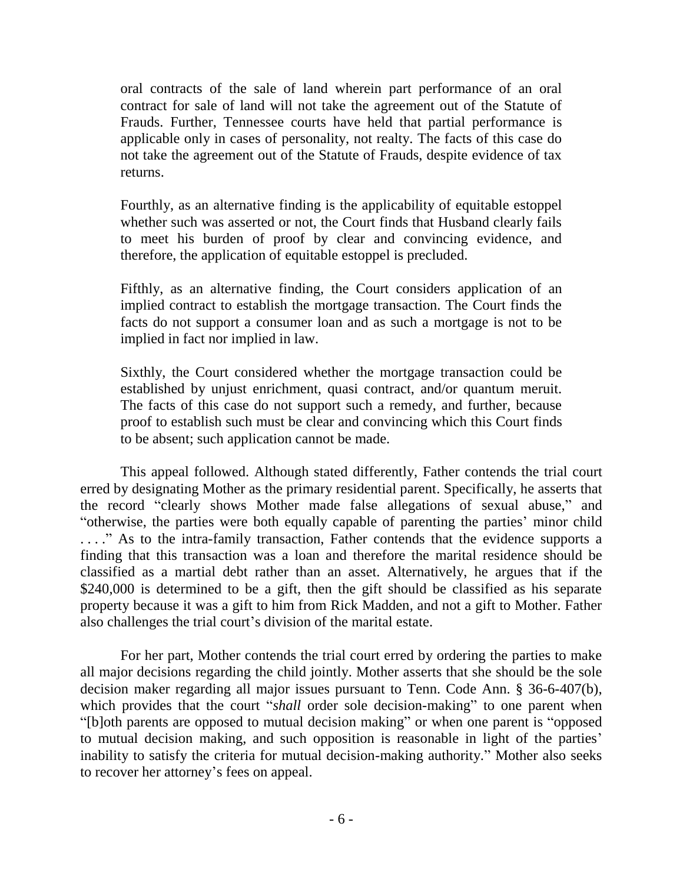oral contracts of the sale of land wherein part performance of an oral contract for sale of land will not take the agreement out of the Statute of Frauds. Further, Tennessee courts have held that partial performance is applicable only in cases of personality, not realty. The facts of this case do not take the agreement out of the Statute of Frauds, despite evidence of tax returns.

Fourthly, as an alternative finding is the applicability of equitable estoppel whether such was asserted or not, the Court finds that Husband clearly fails to meet his burden of proof by clear and convincing evidence, and therefore, the application of equitable estoppel is precluded.

Fifthly, as an alternative finding, the Court considers application of an implied contract to establish the mortgage transaction. The Court finds the facts do not support a consumer loan and as such a mortgage is not to be implied in fact nor implied in law.

Sixthly, the Court considered whether the mortgage transaction could be established by unjust enrichment, quasi contract, and/or quantum meruit. The facts of this case do not support such a remedy, and further, because proof to establish such must be clear and convincing which this Court finds to be absent; such application cannot be made.

This appeal followed. Although stated differently, Father contends the trial court erred by designating Mother as the primary residential parent. Specifically, he asserts that the record "clearly shows Mother made false allegations of sexual abuse," and "otherwise, the parties were both equally capable of parenting the parties' minor child ...." As to the intra-family transaction, Father contends that the evidence supports a finding that this transaction was a loan and therefore the marital residence should be classified as a martial debt rather than an asset. Alternatively, he argues that if the \$240,000 is determined to be a gift, then the gift should be classified as his separate property because it was a gift to him from Rick Madden, and not a gift to Mother. Father also challenges the trial court's division of the marital estate.

For her part, Mother contends the trial court erred by ordering the parties to make all major decisions regarding the child jointly. Mother asserts that she should be the sole decision maker regarding all major issues pursuant to Tenn. Code Ann. § 36-6-407(b), which provides that the court "shall order sole decision-making" to one parent when "[b]oth parents are opposed to mutual decision making" or when one parent is "opposed to mutual decision making, and such opposition is reasonable in light of the parties' inability to satisfy the criteria for mutual decision-making authority." Mother also seeks to recover her attorney's fees on appeal.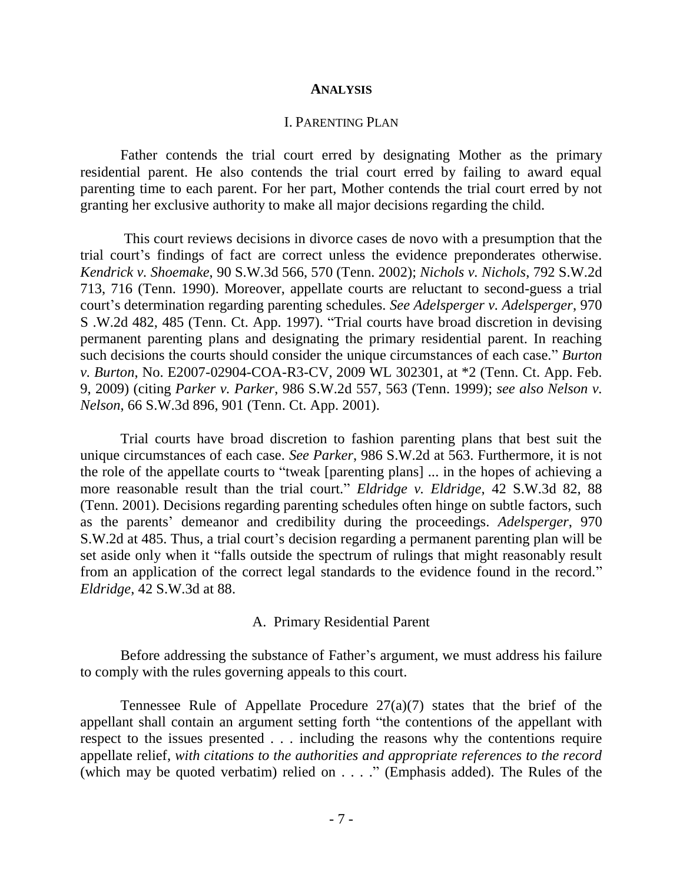#### **ANALYSIS**

# I. PARENTING PLAN

Father contends the trial court erred by designating Mother as the primary residential parent. He also contends the trial court erred by failing to award equal parenting time to each parent. For her part, Mother contends the trial court erred by not granting her exclusive authority to make all major decisions regarding the child.

This court reviews decisions in divorce cases de novo with a presumption that the trial court's findings of fact are correct unless the evidence preponderates otherwise. *Kendrick v. Shoemake*, 90 S.W.3d 566, 570 (Tenn. 2002); *Nichols v. Nichols*, 792 S.W.2d 713, 716 (Tenn. 1990). Moreover, appellate courts are reluctant to second-guess a trial court's determination regarding parenting schedules. *See Adelsperger v. Adelsperger*, 970 S .W.2d 482, 485 (Tenn. Ct. App. 1997). "Trial courts have broad discretion in devising permanent parenting plans and designating the primary residential parent. In reaching such decisions the courts should consider the unique circumstances of each case." *Burton v. Burton*, No. E2007-02904-COA-R3-CV, 2009 WL 302301, at \*2 (Tenn. Ct. App. Feb. 9, 2009) (citing *Parker v. Parker*, 986 S.W.2d 557, 563 (Tenn. 1999); *see also Nelson v. Nelson*, 66 S.W.3d 896, 901 (Tenn. Ct. App. 2001).

Trial courts have broad discretion to fashion parenting plans that best suit the unique circumstances of each case. *See Parker*, 986 S.W.2d at 563. Furthermore, it is not the role of the appellate courts to "tweak [parenting plans] ... in the hopes of achieving a more reasonable result than the trial court." *Eldridge v. Eldridge*, 42 S.W.3d 82, 88 (Tenn. 2001). Decisions regarding parenting schedules often hinge on subtle factors, such as the parents' demeanor and credibility during the proceedings. *Adelsperger*, 970 S.W.2d at 485. Thus, a trial court's decision regarding a permanent parenting plan will be set aside only when it "falls outside the spectrum of rulings that might reasonably result from an application of the correct legal standards to the evidence found in the record." *Eldridge*, 42 S.W.3d at 88.

#### A. Primary Residential Parent

Before addressing the substance of Father's argument, we must address his failure to comply with the rules governing appeals to this court.

Tennessee Rule of Appellate Procedure  $27(a)(7)$  states that the brief of the appellant shall contain an argument setting forth "the contentions of the appellant with respect to the issues presented . . . including the reasons why the contentions require appellate relief, *with citations to the authorities and appropriate references to the record* (which may be quoted verbatim) relied on . . . ." (Emphasis added). The Rules of the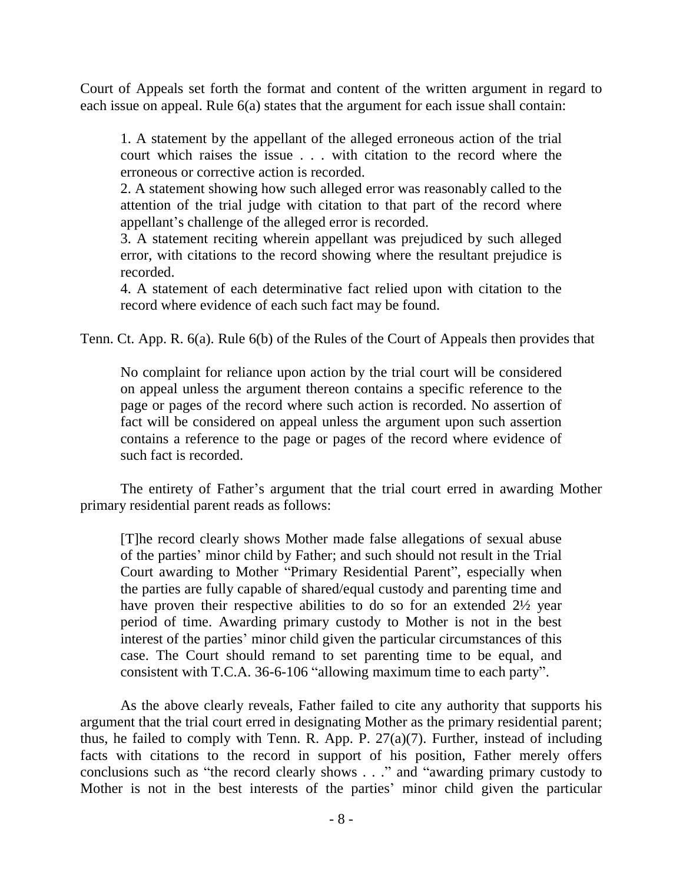Court of Appeals set forth the format and content of the written argument in regard to each issue on appeal. Rule 6(a) states that the argument for each issue shall contain:

1. A statement by the appellant of the alleged erroneous action of the trial court which raises the issue . . . with citation to the record where the erroneous or corrective action is recorded.

2. A statement showing how such alleged error was reasonably called to the attention of the trial judge with citation to that part of the record where appellant's challenge of the alleged error is recorded.

3. A statement reciting wherein appellant was prejudiced by such alleged error, with citations to the record showing where the resultant prejudice is recorded.

4. A statement of each determinative fact relied upon with citation to the record where evidence of each such fact may be found.

Tenn. Ct. App. R. 6(a). Rule 6(b) of the Rules of the Court of Appeals then provides that

No complaint for reliance upon action by the trial court will be considered on appeal unless the argument thereon contains a specific reference to the page or pages of the record where such action is recorded. No assertion of fact will be considered on appeal unless the argument upon such assertion contains a reference to the page or pages of the record where evidence of such fact is recorded.

The entirety of Father's argument that the trial court erred in awarding Mother primary residential parent reads as follows:

[T]he record clearly shows Mother made false allegations of sexual abuse of the parties' minor child by Father; and such should not result in the Trial Court awarding to Mother "Primary Residential Parent", especially when the parties are fully capable of shared/equal custody and parenting time and have proven their respective abilities to do so for an extended 2½ year period of time. Awarding primary custody to Mother is not in the best interest of the parties' minor child given the particular circumstances of this case. The Court should remand to set parenting time to be equal, and consistent with T.C.A. 36-6-106 "allowing maximum time to each party".

As the above clearly reveals, Father failed to cite any authority that supports his argument that the trial court erred in designating Mother as the primary residential parent; thus, he failed to comply with Tenn. R. App. P. 27(a)(7). Further, instead of including facts with citations to the record in support of his position, Father merely offers conclusions such as "the record clearly shows . . ." and "awarding primary custody to Mother is not in the best interests of the parties' minor child given the particular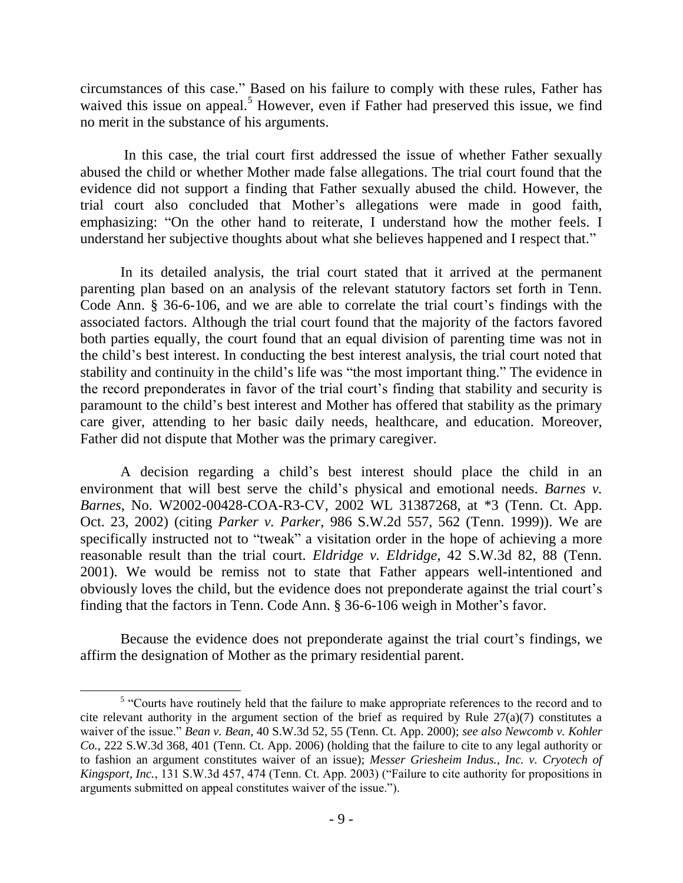circumstances of this case." Based on his failure to comply with these rules, Father has waived this issue on appeal.<sup>5</sup> However, even if Father had preserved this issue, we find no merit in the substance of his arguments.

In this case, the trial court first addressed the issue of whether Father sexually abused the child or whether Mother made false allegations. The trial court found that the evidence did not support a finding that Father sexually abused the child. However, the trial court also concluded that Mother's allegations were made in good faith, emphasizing: "On the other hand to reiterate, I understand how the mother feels. I understand her subjective thoughts about what she believes happened and I respect that."

In its detailed analysis, the trial court stated that it arrived at the permanent parenting plan based on an analysis of the relevant statutory factors set forth in Tenn. Code Ann. § 36-6-106, and we are able to correlate the trial court's findings with the associated factors. Although the trial court found that the majority of the factors favored both parties equally, the court found that an equal division of parenting time was not in the child's best interest. In conducting the best interest analysis, the trial court noted that stability and continuity in the child's life was "the most important thing." The evidence in the record preponderates in favor of the trial court's finding that stability and security is paramount to the child's best interest and Mother has offered that stability as the primary care giver, attending to her basic daily needs, healthcare, and education. Moreover, Father did not dispute that Mother was the primary caregiver.

A decision regarding a child's best interest should place the child in an environment that will best serve the child's physical and emotional needs. *Barnes v. Barnes*, No. W2002-00428-COA-R3-CV, 2002 WL 31387268, at \*3 (Tenn. Ct. App. Oct. 23, 2002) (citing *Parker v. Parker*, 986 S.W.2d 557, 562 (Tenn. 1999)). We are specifically instructed not to "tweak" a visitation order in the hope of achieving a more reasonable result than the trial court. *Eldridge v. Eldridge*, 42 S.W.3d 82, 88 (Tenn. 2001). We would be remiss not to state that Father appears well-intentioned and obviously loves the child, but the evidence does not preponderate against the trial court's finding that the factors in Tenn. Code Ann. § 36-6-106 weigh in Mother's favor.

Because the evidence does not preponderate against the trial court's findings, we affirm the designation of Mother as the primary residential parent.

 $\overline{\phantom{a}}$ 

<sup>&</sup>lt;sup>5</sup> "Courts have routinely held that the failure to make appropriate references to the record and to cite relevant authority in the argument section of the brief as required by Rule 27(a)(7) constitutes a waiver of the issue." *Bean v. Bean*, 40 S.W.3d 52, 55 (Tenn. Ct. App. 2000); *see also Newcomb v. Kohler Co.*, 222 S.W.3d 368, 401 (Tenn. Ct. App. 2006) (holding that the failure to cite to any legal authority or to fashion an argument constitutes waiver of an issue); *Messer Griesheim Indus., Inc. v. Cryotech of Kingsport, Inc.*, 131 S.W.3d 457, 474 (Tenn. Ct. App. 2003) ("Failure to cite authority for propositions in arguments submitted on appeal constitutes waiver of the issue.").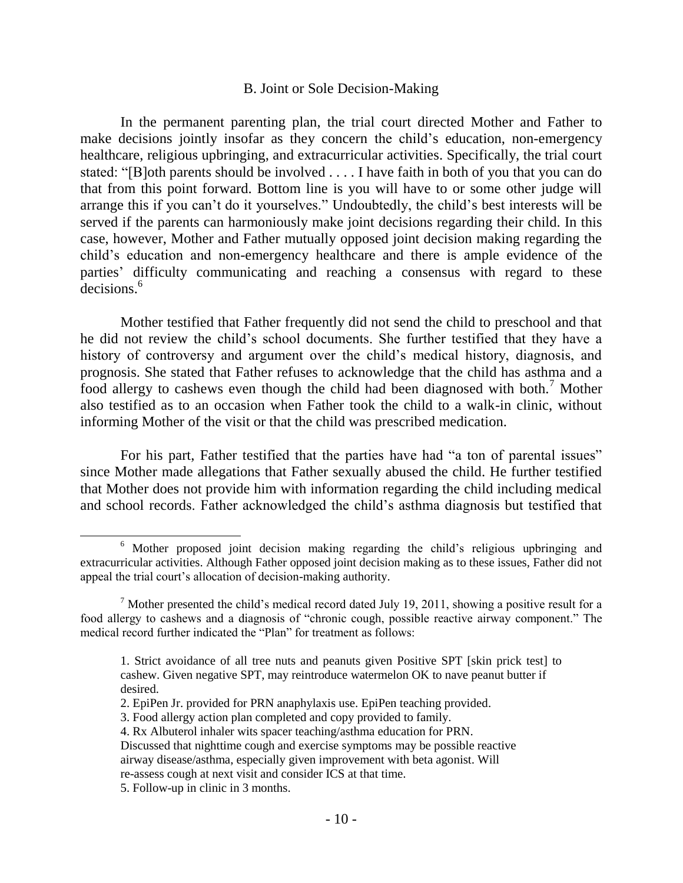### B. Joint or Sole Decision-Making

In the permanent parenting plan, the trial court directed Mother and Father to make decisions jointly insofar as they concern the child's education, non-emergency healthcare, religious upbringing, and extracurricular activities. Specifically, the trial court stated: "[B]oth parents should be involved . . . . I have faith in both of you that you can do that from this point forward. Bottom line is you will have to or some other judge will arrange this if you can't do it yourselves." Undoubtedly, the child's best interests will be served if the parents can harmoniously make joint decisions regarding their child. In this case, however, Mother and Father mutually opposed joint decision making regarding the child's education and non-emergency healthcare and there is ample evidence of the parties' difficulty communicating and reaching a consensus with regard to these decisions.<sup>6</sup>

Mother testified that Father frequently did not send the child to preschool and that he did not review the child's school documents. She further testified that they have a history of controversy and argument over the child's medical history, diagnosis, and prognosis. She stated that Father refuses to acknowledge that the child has asthma and a food allergy to cashews even though the child had been diagnosed with both.<sup>7</sup> Mother also testified as to an occasion when Father took the child to a walk-in clinic, without informing Mother of the visit or that the child was prescribed medication.

For his part, Father testified that the parties have had "a ton of parental issues" since Mother made allegations that Father sexually abused the child. He further testified that Mother does not provide him with information regarding the child including medical and school records. Father acknowledged the child's asthma diagnosis but testified that

5. Follow-up in clinic in 3 months.

 $\overline{\phantom{a}}$ 

<sup>&</sup>lt;sup>6</sup> Mother proposed joint decision making regarding the child's religious upbringing and extracurricular activities. Although Father opposed joint decision making as to these issues, Father did not appeal the trial court's allocation of decision-making authority.

 $<sup>7</sup>$  Mother presented the child's medical record dated July 19, 2011, showing a positive result for a</sup> food allergy to cashews and a diagnosis of "chronic cough, possible reactive airway component." The medical record further indicated the "Plan" for treatment as follows:

<sup>1.</sup> Strict avoidance of all tree nuts and peanuts given Positive SPT [skin prick test] to cashew. Given negative SPT, may reintroduce watermelon OK to nave peanut butter if desired.

<sup>2.</sup> EpiPen Jr. provided for PRN anaphylaxis use. EpiPen teaching provided.

<sup>3.</sup> Food allergy action plan completed and copy provided to family.

<sup>4.</sup> Rx Albuterol inhaler wits spacer teaching/asthma education for PRN.

Discussed that nighttime cough and exercise symptoms may be possible reactive

airway disease/asthma, especially given improvement with beta agonist. Will

re-assess cough at next visit and consider ICS at that time.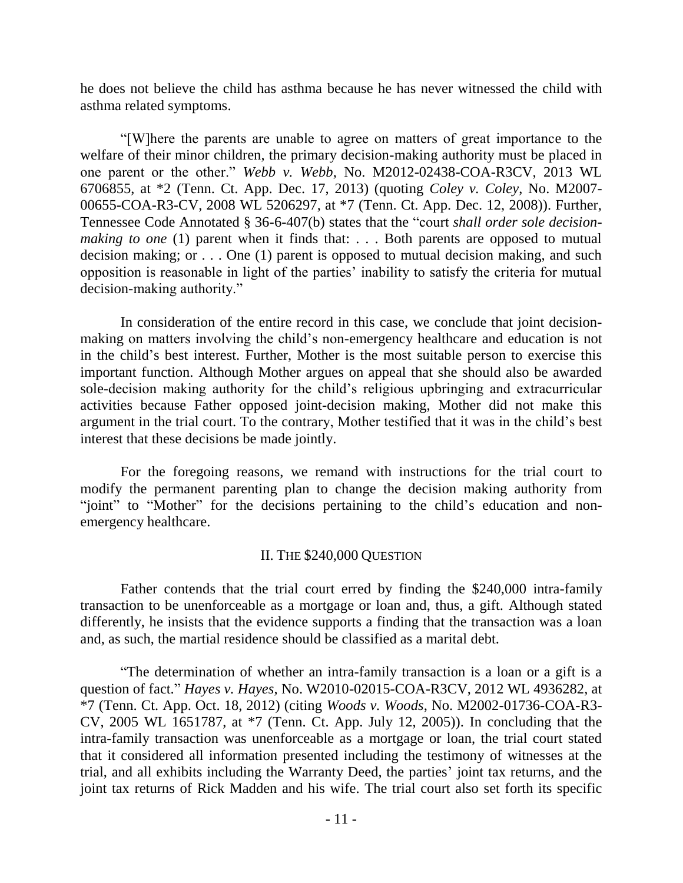he does not believe the child has asthma because he has never witnessed the child with asthma related symptoms.

"[W]here the parents are unable to agree on matters of great importance to the welfare of their minor children, the primary decision-making authority must be placed in one parent or the other." *Webb v. Webb*, No. M2012-02438-COA-R3CV, 2013 WL 6706855, at \*2 (Tenn. Ct. App. Dec. 17, 2013) (quoting *Coley v. Coley*, No. M2007- 00655-COA-R3-CV, 2008 WL 5206297, at \*7 (Tenn. Ct. App. Dec. 12, 2008)). Further, Tennessee Code Annotated § 36-6-407(b) states that the "court *shall order sole decisionmaking to one* (1) parent when it finds that: . . . Both parents are opposed to mutual decision making; or . . . One (1) parent is opposed to mutual decision making, and such opposition is reasonable in light of the parties' inability to satisfy the criteria for mutual decision-making authority."

In consideration of the entire record in this case, we conclude that joint decisionmaking on matters involving the child's non-emergency healthcare and education is not in the child's best interest. Further, Mother is the most suitable person to exercise this important function. Although Mother argues on appeal that she should also be awarded sole-decision making authority for the child's religious upbringing and extracurricular activities because Father opposed joint-decision making, Mother did not make this argument in the trial court. To the contrary, Mother testified that it was in the child's best interest that these decisions be made jointly.

For the foregoing reasons, we remand with instructions for the trial court to modify the permanent parenting plan to change the decision making authority from "joint" to "Mother" for the decisions pertaining to the child's education and nonemergency healthcare.

# II. THE \$240,000 QUESTION

Father contends that the trial court erred by finding the \$240,000 intra-family transaction to be unenforceable as a mortgage or loan and, thus, a gift. Although stated differently, he insists that the evidence supports a finding that the transaction was a loan and, as such, the martial residence should be classified as a marital debt.

"The determination of whether an intra-family transaction is a loan or a gift is a question of fact." *Hayes v. Hayes*, No. W2010-02015-COA-R3CV, 2012 WL 4936282, at \*7 (Tenn. Ct. App. Oct. 18, 2012) (citing *Woods v. Woods*, No. M2002-01736-COA-R3- CV, 2005 WL 1651787, at \*7 (Tenn. Ct. App. July 12, 2005)). In concluding that the intra-family transaction was unenforceable as a mortgage or loan, the trial court stated that it considered all information presented including the testimony of witnesses at the trial, and all exhibits including the Warranty Deed, the parties' joint tax returns, and the joint tax returns of Rick Madden and his wife. The trial court also set forth its specific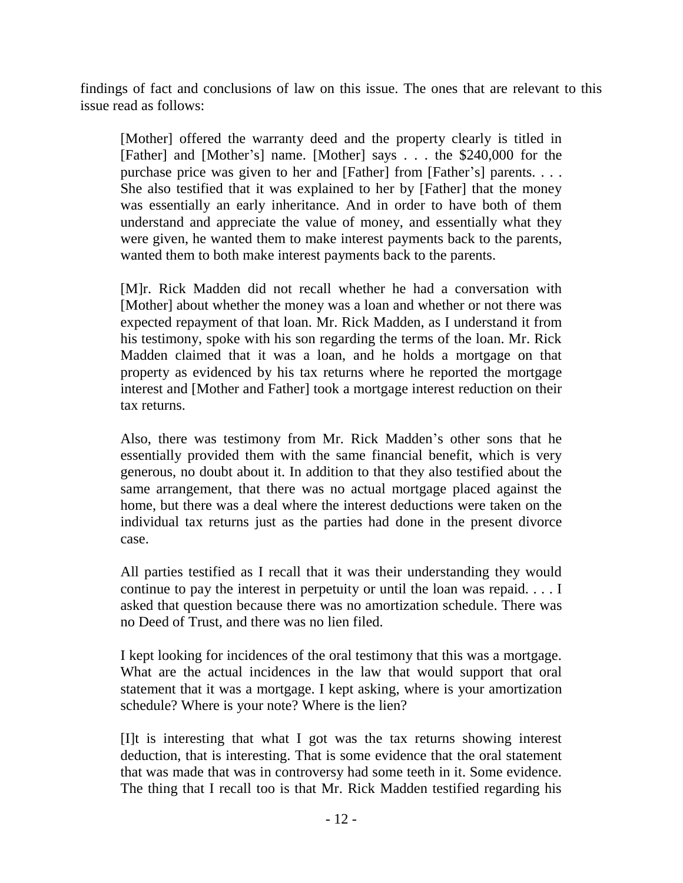findings of fact and conclusions of law on this issue. The ones that are relevant to this issue read as follows:

[Mother] offered the warranty deed and the property clearly is titled in [Father] and [Mother's] name. [Mother] says . . . the \$240,000 for the purchase price was given to her and [Father] from [Father's] parents. . . . She also testified that it was explained to her by [Father] that the money was essentially an early inheritance. And in order to have both of them understand and appreciate the value of money, and essentially what they were given, he wanted them to make interest payments back to the parents, wanted them to both make interest payments back to the parents.

[M]r. Rick Madden did not recall whether he had a conversation with [Mother] about whether the money was a loan and whether or not there was expected repayment of that loan. Mr. Rick Madden, as I understand it from his testimony, spoke with his son regarding the terms of the loan. Mr. Rick Madden claimed that it was a loan, and he holds a mortgage on that property as evidenced by his tax returns where he reported the mortgage interest and [Mother and Father] took a mortgage interest reduction on their tax returns.

Also, there was testimony from Mr. Rick Madden's other sons that he essentially provided them with the same financial benefit, which is very generous, no doubt about it. In addition to that they also testified about the same arrangement, that there was no actual mortgage placed against the home, but there was a deal where the interest deductions were taken on the individual tax returns just as the parties had done in the present divorce case.

All parties testified as I recall that it was their understanding they would continue to pay the interest in perpetuity or until the loan was repaid. . . . I asked that question because there was no amortization schedule. There was no Deed of Trust, and there was no lien filed.

I kept looking for incidences of the oral testimony that this was a mortgage. What are the actual incidences in the law that would support that oral statement that it was a mortgage. I kept asking, where is your amortization schedule? Where is your note? Where is the lien?

[I]t is interesting that what I got was the tax returns showing interest deduction, that is interesting. That is some evidence that the oral statement that was made that was in controversy had some teeth in it. Some evidence. The thing that I recall too is that Mr. Rick Madden testified regarding his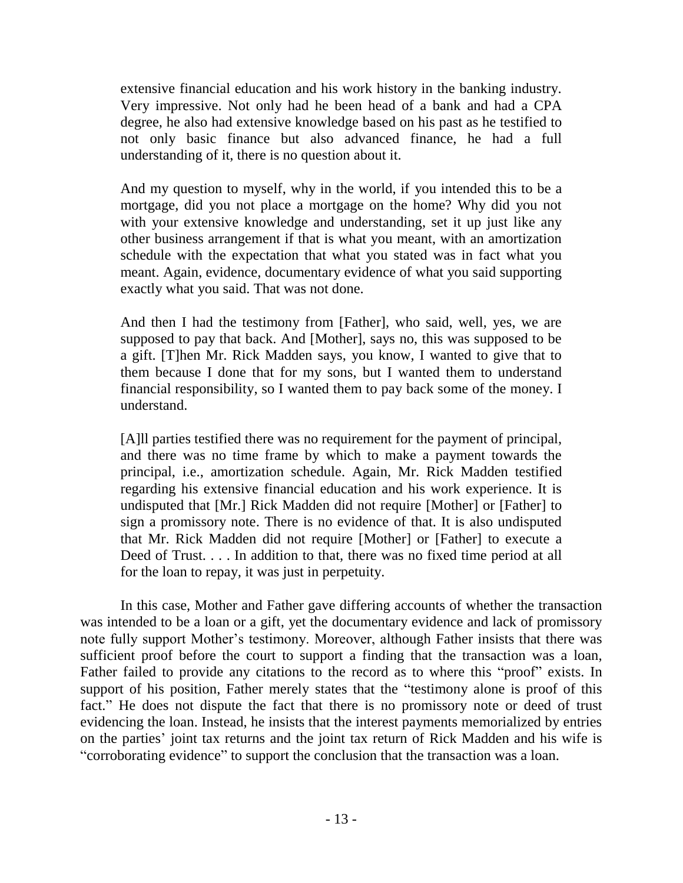extensive financial education and his work history in the banking industry. Very impressive. Not only had he been head of a bank and had a CPA degree, he also had extensive knowledge based on his past as he testified to not only basic finance but also advanced finance, he had a full understanding of it, there is no question about it.

And my question to myself, why in the world, if you intended this to be a mortgage, did you not place a mortgage on the home? Why did you not with your extensive knowledge and understanding, set it up just like any other business arrangement if that is what you meant, with an amortization schedule with the expectation that what you stated was in fact what you meant. Again, evidence, documentary evidence of what you said supporting exactly what you said. That was not done.

And then I had the testimony from [Father], who said, well, yes, we are supposed to pay that back. And [Mother], says no, this was supposed to be a gift. [T]hen Mr. Rick Madden says, you know, I wanted to give that to them because I done that for my sons, but I wanted them to understand financial responsibility, so I wanted them to pay back some of the money. I understand.

[A]ll parties testified there was no requirement for the payment of principal, and there was no time frame by which to make a payment towards the principal, i.e., amortization schedule. Again, Mr. Rick Madden testified regarding his extensive financial education and his work experience. It is undisputed that [Mr.] Rick Madden did not require [Mother] or [Father] to sign a promissory note. There is no evidence of that. It is also undisputed that Mr. Rick Madden did not require [Mother] or [Father] to execute a Deed of Trust. . . . In addition to that, there was no fixed time period at all for the loan to repay, it was just in perpetuity.

In this case, Mother and Father gave differing accounts of whether the transaction was intended to be a loan or a gift, yet the documentary evidence and lack of promissory note fully support Mother's testimony. Moreover, although Father insists that there was sufficient proof before the court to support a finding that the transaction was a loan, Father failed to provide any citations to the record as to where this "proof" exists. In support of his position, Father merely states that the "testimony alone is proof of this fact." He does not dispute the fact that there is no promissory note or deed of trust evidencing the loan. Instead, he insists that the interest payments memorialized by entries on the parties' joint tax returns and the joint tax return of Rick Madden and his wife is "corroborating evidence" to support the conclusion that the transaction was a loan.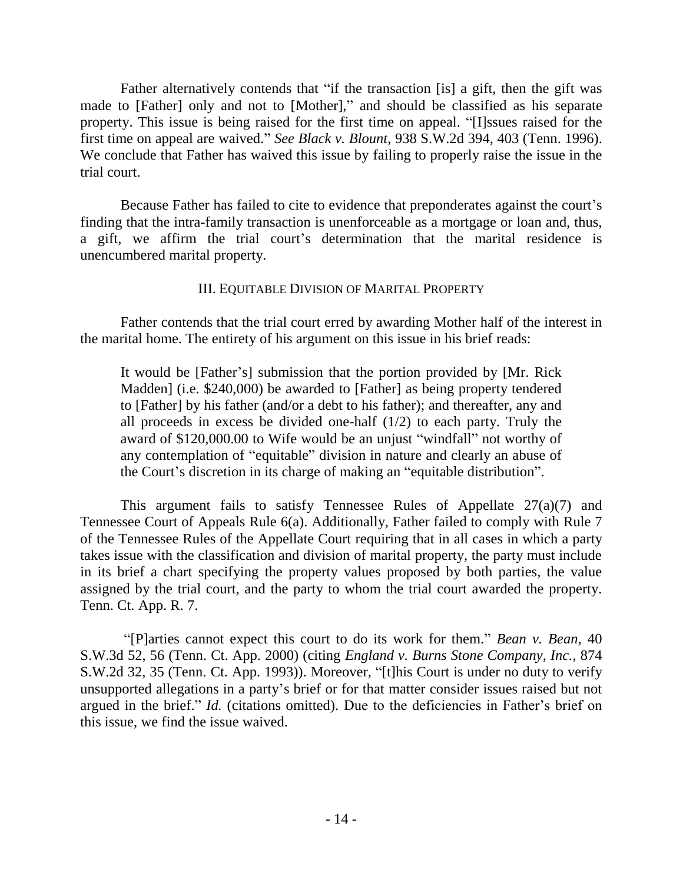Father alternatively contends that "if the transaction [is] a gift, then the gift was made to [Father] only and not to [Mother]," and should be classified as his separate property. This issue is being raised for the first time on appeal. "[I]ssues raised for the first time on appeal are waived." *See Black v. Blount*, 938 S.W.2d 394, 403 (Tenn. 1996). We conclude that Father has waived this issue by failing to properly raise the issue in the trial court.

Because Father has failed to cite to evidence that preponderates against the court's finding that the intra-family transaction is unenforceable as a mortgage or loan and, thus, a gift, we affirm the trial court's determination that the marital residence is unencumbered marital property.

# III. EQUITABLE DIVISION OF MARITAL PROPERTY

Father contends that the trial court erred by awarding Mother half of the interest in the marital home. The entirety of his argument on this issue in his brief reads:

It would be [Father's] submission that the portion provided by [Mr. Rick Madden] (i.e. \$240,000) be awarded to [Father] as being property tendered to [Father] by his father (and/or a debt to his father); and thereafter, any and all proceeds in excess be divided one-half (1/2) to each party. Truly the award of \$120,000.00 to Wife would be an unjust "windfall" not worthy of any contemplation of "equitable" division in nature and clearly an abuse of the Court's discretion in its charge of making an "equitable distribution".

This argument fails to satisfy Tennessee Rules of Appellate 27(a)(7) and Tennessee Court of Appeals Rule 6(a). Additionally, Father failed to comply with Rule 7 of the Tennessee Rules of the Appellate Court requiring that in all cases in which a party takes issue with the classification and division of marital property, the party must include in its brief a chart specifying the property values proposed by both parties, the value assigned by the trial court, and the party to whom the trial court awarded the property. Tenn. Ct. App. R. 7.

"[P]arties cannot expect this court to do its work for them." *Bean v. Bean*, 40 S.W.3d 52, 56 (Tenn. Ct. App. 2000) (citing *England v. Burns Stone Company, Inc.*, 874 S.W.2d 32, 35 (Tenn. Ct. App. 1993)). Moreover, "[t]his Court is under no duty to verify unsupported allegations in a party's brief or for that matter consider issues raised but not argued in the brief." *Id.* (citations omitted). Due to the deficiencies in Father's brief on this issue, we find the issue waived.